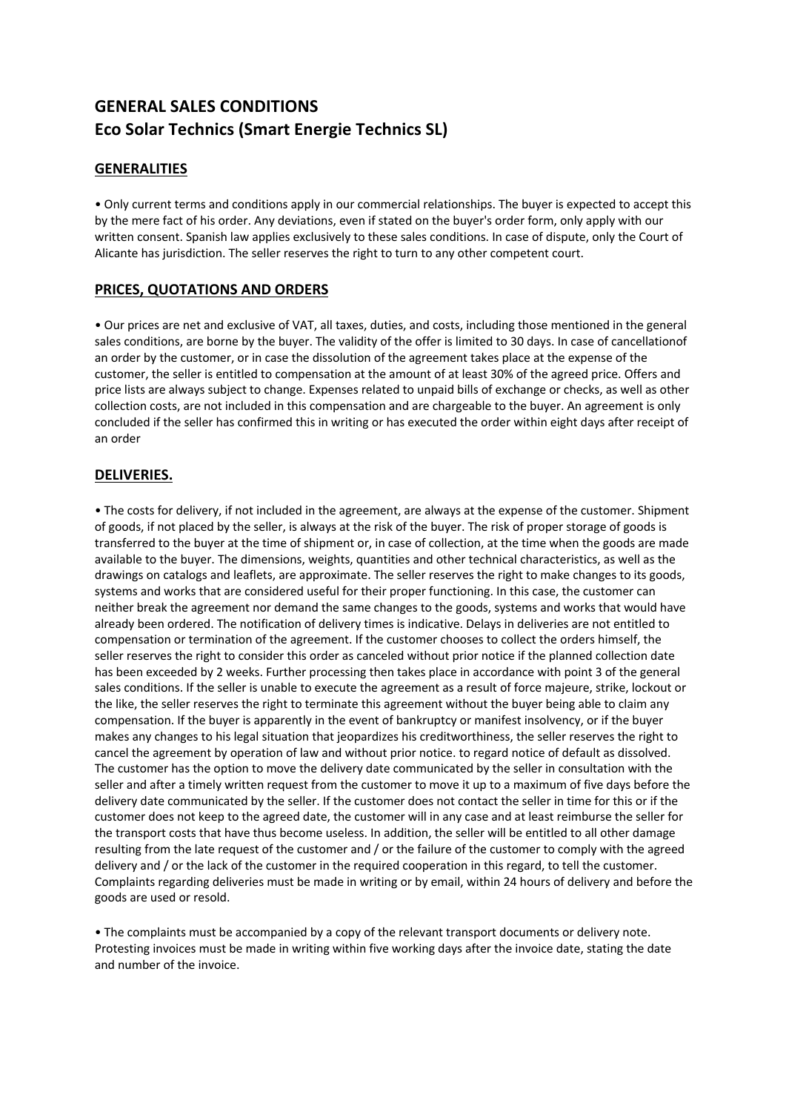# **GENERAL SALES CONDITIONS Eco Solar Technics (Smart Energie Technics SL)**

# **GENERALITIES**

• Only current terms and conditions apply in our commercial relationships. The buyer is expected to accept this by the mere fact of his order. Any deviations, even if stated on the buyer's order form, only apply with our written consent. Spanish law applies exclusively to these sales conditions. In case of dispute, only the Court of Alicante has jurisdiction. The seller reserves the right to turn to any other competent court.

## **PRICES, QUOTATIONS AND ORDERS**

• Our prices are net and exclusive of VAT, all taxes, duties, and costs, including those mentioned in the general sales conditions, are borne by the buyer. The validity of the offer is limited to 30 days. In case of cancellationof an order by the customer, or in case the dissolution of the agreement takes place at the expense of the customer, the seller is entitled to compensation at the amount of at least 30% of the agreed price. Offers and price lists are always subject to change. Expenses related to unpaid bills of exchange or checks, as well as other collection costs, are not included in this compensation and are chargeable to the buyer. An agreement is only concluded if the seller has confirmed this in writing or has executed the order within eight days after receipt of an order

## **DELIVERIES.**

• The costs for delivery, if not included in the agreement, are always at the expense of the customer. Shipment of goods, if not placed by the seller, is always at the risk of the buyer. The risk of proper storage of goods is transferred to the buyer at the time of shipment or, in case of collection, at the time when the goods are made available to the buyer. The dimensions, weights, quantities and other technical characteristics, as well as the drawings on catalogs and leaflets, are approximate. The seller reserves the right to make changes to its goods, systems and works that are considered useful for their proper functioning. In this case, the customer can neither break the agreement nor demand the same changes to the goods, systems and works that would have already been ordered. The notification of delivery times is indicative. Delays in deliveries are not entitled to compensation or termination of the agreement. If the customer chooses to collect the orders himself, the seller reserves the right to consider this order as canceled without prior notice if the planned collection date has been exceeded by 2 weeks. Further processing then takes place in accordance with point 3 of the general sales conditions. If the seller is unable to execute the agreement as a result of force majeure, strike, lockout or the like, the seller reserves the right to terminate this agreement without the buyer being able to claim any compensation. If the buyer is apparently in the event of bankruptcy or manifest insolvency, or if the buyer makes any changes to his legal situation that jeopardizes his creditworthiness, the seller reserves the right to cancel the agreement by operation of law and without prior notice. to regard notice of default as dissolved. The customer has the option to move the delivery date communicated by the seller in consultation with the seller and after a timely written request from the customer to move it up to a maximum of five days before the delivery date communicated by the seller. If the customer does not contact the seller in time for this or if the customer does not keep to the agreed date, the customer will in any case and at least reimburse the seller for the transport costs that have thus become useless. In addition, the seller will be entitled to all other damage resulting from the late request of the customer and / or the failure of the customer to comply with the agreed delivery and / or the lack of the customer in the required cooperation in this regard, to tell the customer. Complaints regarding deliveries must be made in writing or by email, within 24 hours of delivery and before the goods are used or resold.

• The complaints must be accompanied by a copy of the relevant transport documents or delivery note. Protesting invoices must be made in writing within five working days after the invoice date, stating the date and number of the invoice.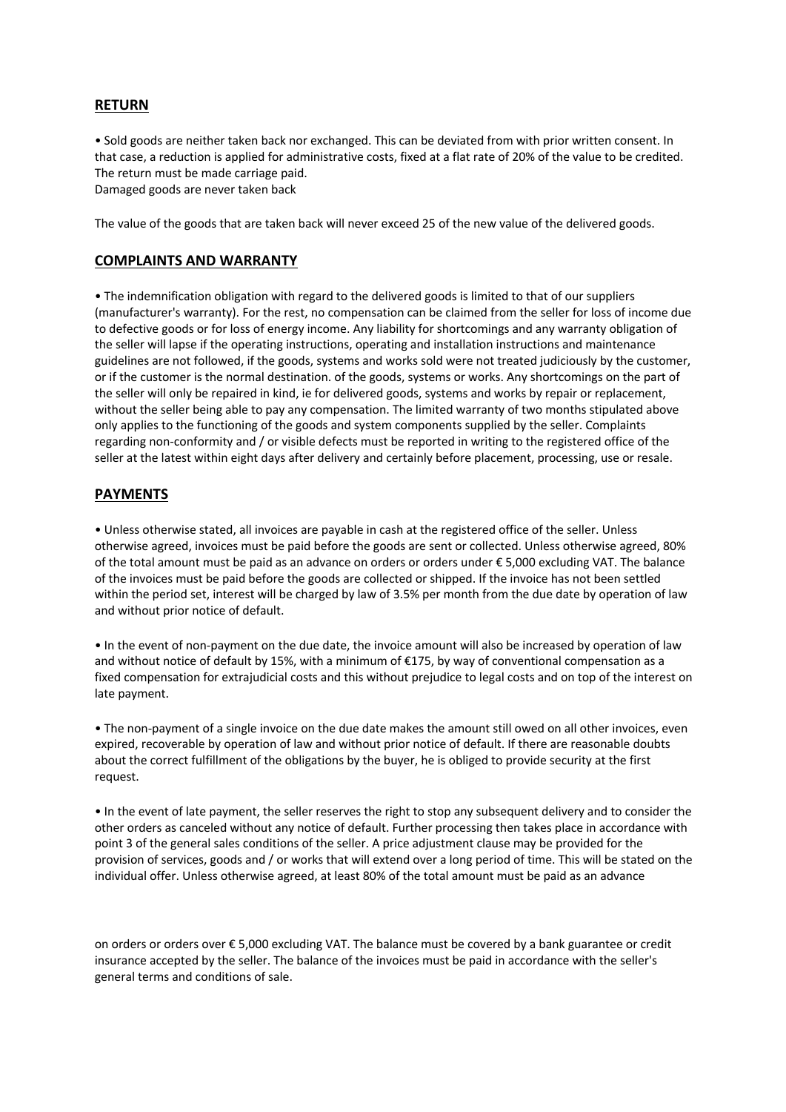## **RETURN**

• Sold goods are neither taken back nor exchanged. This can be deviated from with prior written consent. In that case, a reduction is applied for administrative costs, fixed at a flat rate of 20% of the value to be credited. The return must be made carriage paid.

Damaged goods are never taken back

The value of the goods that are taken back will never exceed 25 of the new value of the delivered goods.

#### **COMPLAINTS AND WARRANTY**

• The indemnification obligation with regard to the delivered goods is limited to that of our suppliers (manufacturer's warranty). For the rest, no compensation can be claimed from the seller for loss of income due to defective goods or for loss of energy income. Any liability for shortcomings and any warranty obligation of the seller will lapse if the operating instructions, operating and installation instructions and maintenance guidelines are not followed, if the goods, systems and works sold were not treated judiciously by the customer, or if the customer is the normal destination. of the goods, systems or works. Any shortcomings on the part of the seller will only be repaired in kind, ie for delivered goods, systems and works by repair or replacement, without the seller being able to pay any compensation. The limited warranty of two months stipulated above only applies to the functioning of the goods and system components supplied by the seller. Complaints regarding non-conformity and / or visible defects must be reported in writing to the registered office of the seller at the latest within eight days after delivery and certainly before placement, processing, use or resale.

#### **PAYMENTS**

• Unless otherwise stated, all invoices are payable in cash at the registered office of the seller. Unless otherwise agreed, invoices must be paid before the goods are sent or collected. Unless otherwise agreed, 80% of the total amount must be paid as an advance on orders or orders under € 5,000 excluding VAT. The balance of the invoices must be paid before the goods are collected or shipped. If the invoice has not been settled within the period set, interest will be charged by law of 3.5% per month from the due date by operation of law and without prior notice of default.

• In the event of non-payment on the due date, the invoice amount will also be increased by operation of law and without notice of default by 15%, with a minimum of €175, by way of conventional compensation as a fixed compensation for extrajudicial costs and this without prejudice to legal costs and on top of the interest on late payment.

• The non-payment of a single invoice on the due date makes the amount still owed on all other invoices, even expired, recoverable by operation of law and without prior notice of default. If there are reasonable doubts about the correct fulfillment of the obligations by the buyer, he is obliged to provide security at the first request.

• In the event of late payment, the seller reserves the right to stop any subsequent delivery and to consider the other orders as canceled without any notice of default. Further processing then takes place in accordance with point 3 of the general sales conditions of the seller. A price adjustment clause may be provided for the provision of services, goods and / or works that will extend over a long period of time. This will be stated on the individual offer. Unless otherwise agreed, at least 80% of the total amount must be paid as an advance

on orders or orders over € 5,000 excluding VAT. The balance must be covered by a bank guarantee or credit insurance accepted by the seller. The balance of the invoices must be paid in accordance with the seller's general terms and conditions of sale.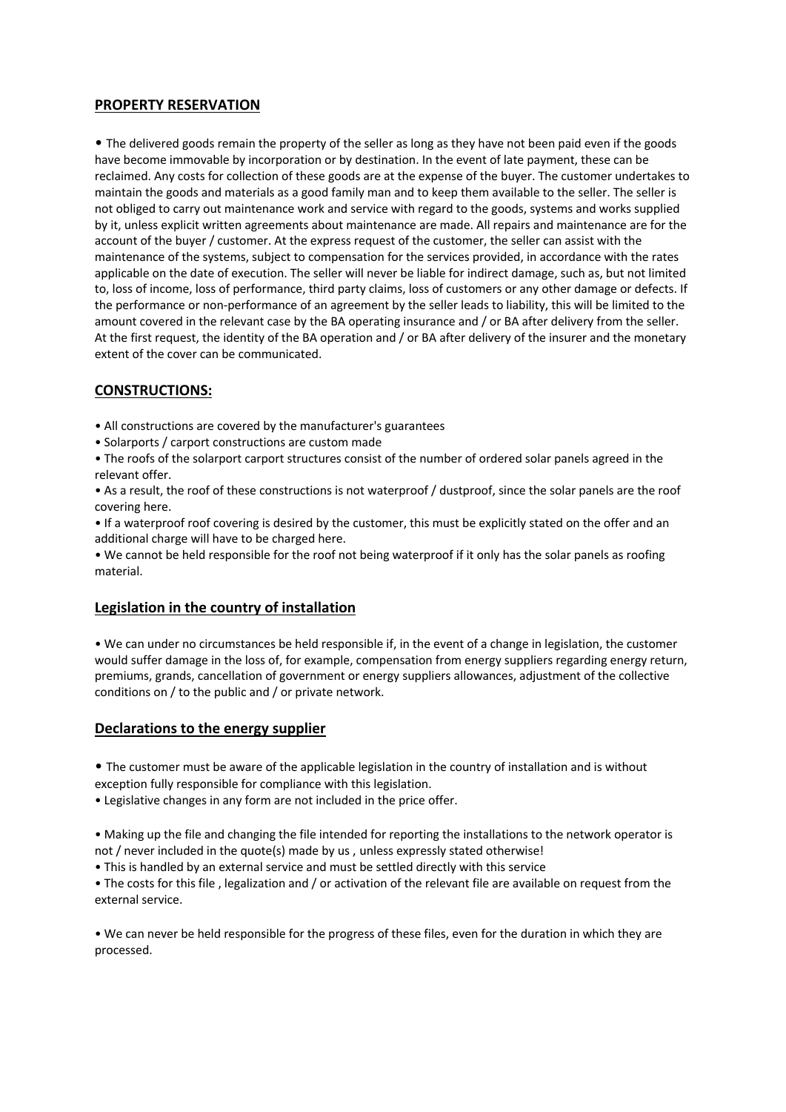## **PROPERTY RESERVATION**

• The delivered goods remain the property of the seller as long as they have not been paid even if the goods have become immovable by incorporation or by destination. In the event of late payment, these can be reclaimed. Any costs for collection of these goods are at the expense of the buyer. The customer undertakes to maintain the goods and materials as a good family man and to keep them available to the seller. The seller is not obliged to carry out maintenance work and service with regard to the goods, systems and works supplied by it, unless explicit written agreements about maintenance are made. All repairs and maintenance are for the account of the buyer / customer. At the express request of the customer, the seller can assist with the maintenance of the systems, subject to compensation for the services provided, in accordance with the rates applicable on the date of execution. The seller will never be liable for indirect damage, such as, but not limited to, loss of income, loss of performance, third party claims, loss of customers or any other damage or defects. If the performance or non-performance of an agreement by the seller leads to liability, this will be limited to the amount covered in the relevant case by the BA operating insurance and / or BA after delivery from the seller. At the first request, the identity of the BA operation and / or BA after delivery of the insurer and the monetary extent of the cover can be communicated.

## **CONSTRUCTIONS:**

- All constructions are covered by the manufacturer's guarantees
- Solarports / carport constructions are custom made
- The roofs of the solarport carport structures consist of the number of ordered solar panels agreed in the relevant offer.
- As a result, the roof of these constructions is not waterproof / dustproof, since the solar panels are the roof covering here.
- If a waterproof roof covering is desired by the customer, this must be explicitly stated on the offer and an additional charge will have to be charged here.

• We cannot be held responsible for the roof not being waterproof if it only has the solar panels as roofing material.

#### **Legislation in the country of installation**

• We can under no circumstances be held responsible if, in the event of a change in legislation, the customer would suffer damage in the loss of, for example, compensation from energy suppliers regarding energy return, premiums, grands, cancellation of government or energy suppliers allowances, adjustment of the collective conditions on / to the public and / or private network.

#### **Declarations to the energy supplier**

• The customer must be aware of the applicable legislation in the country of installation and is without

exception fully responsible for compliance with this legislation.

• Legislative changes in any form are not included in the price offer.

• Making up the file and changing the file intended for reporting the installations to the network operator is not / never included in the quote(s) made by us , unless expressly stated otherwise!

• This is handled by an external service and must be settled directly with this service

• The costs for this file , legalization and / or activation of the relevant file are available on request from the external service.

• We can never be held responsible for the progress of these files, even for the duration in which they are processed.